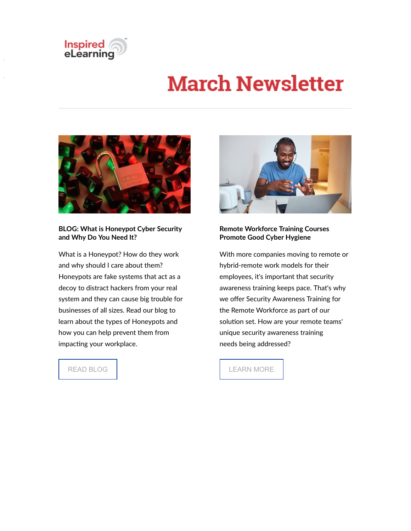

# **March Newsletter**



#### **BLOG: What is Honeypot Cyber Security and Why Do You Need It?**

What is a Honeypot? How do they work and why should I care about them? Honeypots are fake systems that act as a decoy to distract hackers from your real system and they can cause big trouble for businesses of all sizes. Read our blog to learn about the types of Honeypots and how you can help prevent them from impacting your workplace.

READ BLOG



#### **Remote Workforce Training Courses Promote Good Cyber Hygiene**

With more companies moving to remote or hybrid-remote work models for their employees, it's important that security awareness training keeps pace. That's why we offer Security Awareness Training for the Remote Workforce as part of our solution set. How are your remote teams' unique security awareness training needs being addressed?

LEARN MORE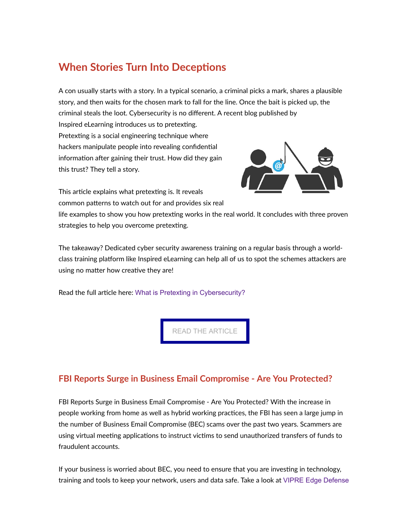# **When Stories Turn Into Deceptions**

A con usually starts with a story. In a typical scenario, a criminal picks a mark, shares a plausible story, and then waits for the chosen mark to fall for the line. Once the bait is picked up, the criminal steals the loot. Cybersecurity is no different. A recent blog published by Inspired eLearning introduces us to pretexting. Pretexting is a social engineering technique where hackers manipulate people into revealing confidential information after gaining their trust. How did they gain this trust? They tell a story.

This article explains what pretexting is. It reveals common patterns to watch out for and provides six real



life examples to show you how pretexting works in the real world. It concludes with three proven strategies to help you overcome pretexting.

The takeaway? Dedicated cyber security awareness training on a regular basis through a worldclass training platform like Inspired eLearning can help all of us to spot the schemes attackers are using no matter how creative they are!

Read the full article here: [What is Pretexting in Cybersecurity?](https://inspiredelearning.com/blog/what-is-pretexting-in-cybersecurity-overview-how-to-prevent-it/)

[READ THE ARTICLE](https://inspiredelearning.com/blog/what-is-pretexting-in-cybersecurity-overview-how-to-prevent-it/)

## **FBI Reports Surge in Business Email Compromise - Are You Protected?**

FBI Reports Surge in Business Email Compromise - Are You Protected? With the increase in people working from home as well as hybrid working practices, the FBI has seen a large jump in the number of Business Email Compromise (BEC) scams over the past two years. Scammers are using virtual meeting applications to instruct victims to send unauthorized transfers of funds to fraudulent accounts.

If your business is worried about BEC, you need to ensure that you are investing in technology, training and tools to keep your network, users and data safe. Take a look at [VIPRE Edge Defense](https://www.vipre.com/products/business-protection/solutions/edge-defense/)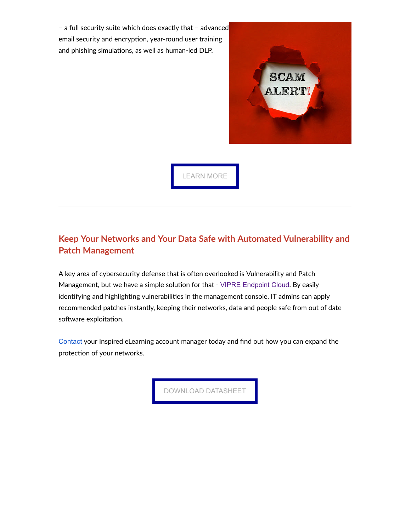– a full security suite which does exactly that – advanced email security and encryption, year-round user training and phishing simulations, as well as human-led DLP.



[LEARN MORE](https://www.vipre.com/products/business-protection/solutions/edge-defense/)

## **Keep Your Networks and Your Data Safe with Automated Vulnerability and Patch Management**

A key area of cybersecurity defense that is often overlooked is Vulnerability and Patch Management, but we have a simple solution for that - [VIPRE Endpoint Cloud](https://www.vipre.com/products/business-protection/cloud-endpoints-protection/). By easily identifying and highlighting vulnerabilities in the management console, IT admins can apply recommended patches instantly, keeping their networks, data and people safe from out of date software exploitation.

[Contact](mailto:sales@inspiredelearning.com?subject=VIPRE%20Endpoint%20Cloud%20Information%20Request) your Inspired eLearning account manager today and find out how you can expand the protection of your networks.

[DOWNLOAD DATASHEET](https://global.vipre.com/wp-content/uploads/2022/02/VIPRE_EndpointSecurityCloud_Datasheet_UKI-022022-3.pdf)